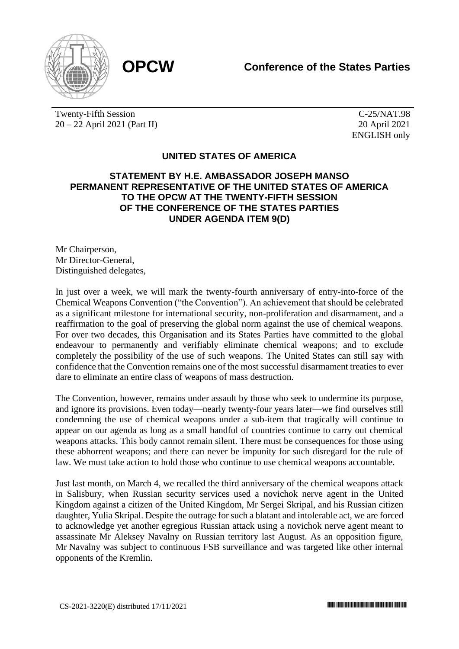

Twenty-Fifth Session 20 – 22 April 2021 (Part II)

C-25/NAT.98 20 April 2021 ENGLISH only

## **UNITED STATES OF AMERICA**

## **STATEMENT BY H.E. AMBASSADOR JOSEPH MANSO PERMANENT REPRESENTATIVE OF THE UNITED STATES OF AMERICA TO THE OPCW AT THE TWENTY-FIFTH SESSION OF THE CONFERENCE OF THE STATES PARTIES UNDER AGENDA ITEM 9(D)**

Mr Chairperson, Mr Director-General, Distinguished delegates,

In just over a week, we will mark the twenty-fourth anniversary of entry-into-force of the Chemical Weapons Convention ("the Convention"). An achievement that should be celebrated as a significant milestone for international security, non-proliferation and disarmament, and a reaffirmation to the goal of preserving the global norm against the use of chemical weapons. For over two decades, this Organisation and its States Parties have committed to the global endeavour to permanently and verifiably eliminate chemical weapons; and to exclude completely the possibility of the use of such weapons. The United States can still say with confidence that the Convention remains one of the most successful disarmament treaties to ever dare to eliminate an entire class of weapons of mass destruction.

The Convention, however, remains under assault by those who seek to undermine its purpose, and ignore its provisions. Even today—nearly twenty-four years later—we find ourselves still condemning the use of chemical weapons under a sub-item that tragically will continue to appear on our agenda as long as a small handful of countries continue to carry out chemical weapons attacks. This body cannot remain silent. There must be consequences for those using these abhorrent weapons; and there can never be impunity for such disregard for the rule of law. We must take action to hold those who continue to use chemical weapons accountable.

Just last month, on March 4, we recalled the third anniversary of the chemical weapons attack in Salisbury, when Russian security services used a novichok nerve agent in the United Kingdom against a citizen of the United Kingdom, Mr Sergei Skripal, and his Russian citizen daughter, Yulia Skripal. Despite the outrage for such a blatant and intolerable act, we are forced to acknowledge yet another egregious Russian attack using a novichok nerve agent meant to assassinate Mr Aleksey Navalny on Russian territory last August. As an opposition figure, Mr Navalny was subject to continuous FSB surveillance and was targeted like other internal opponents of the Kremlin.